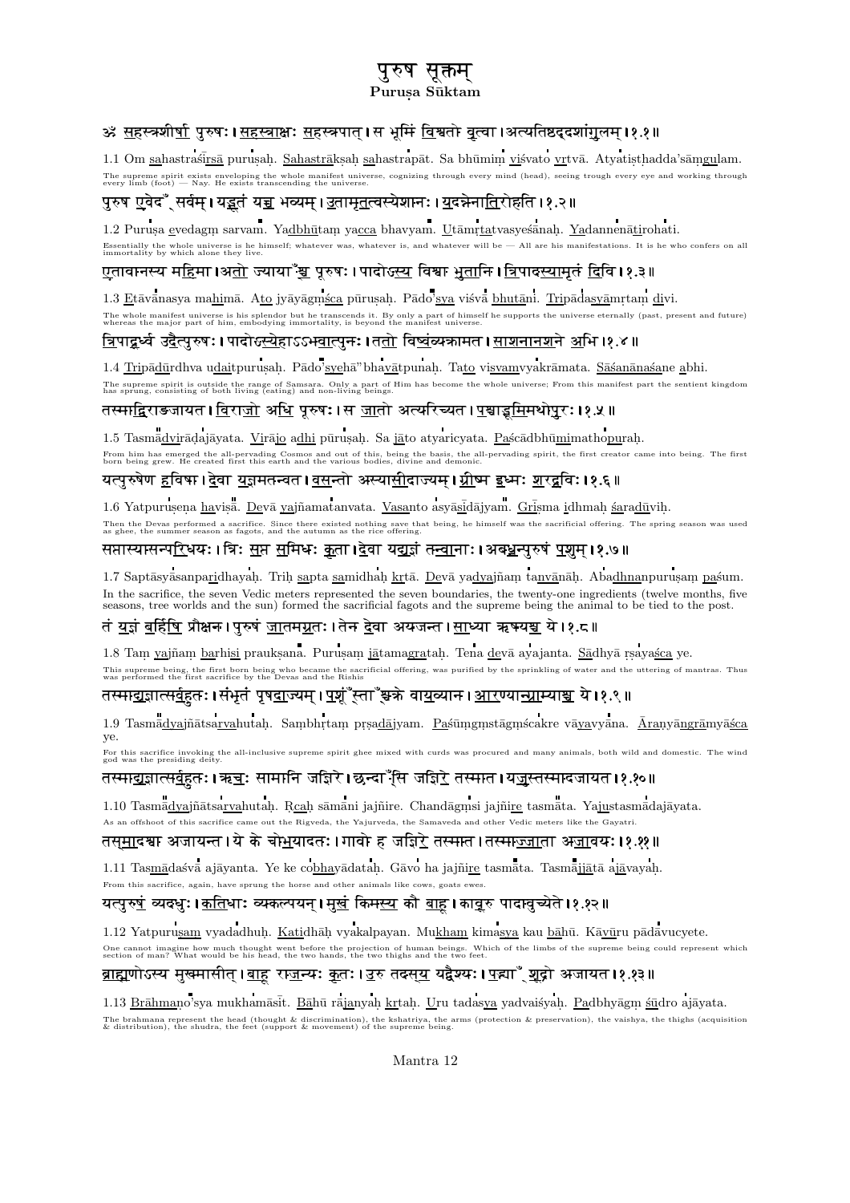# पुरुष सूक्तम्

### Purusa Sūktam

# ॐ सहस्त्रशीर्षा पुरुषः । सहस्त्राक्षः सहस्त्रपात । स भूमिं विश्वतो वृत्वा ।अत्यतिष्ठदृदशांगुलम ।१.१॥

1.1 Om sahastrastīrsā purusah. Sahastrāksah sahastrapāt. Sa bhūmim visvato vrtvā. Atyatisthadda'sāmgulam. The supreme spirit exists enveloping the whole manifest universe, cognizing through every mind (head), seeing trough every eye and working through every limb (foot) — Nav. He exists transcending the universe, cognizing th

# पुरुष एवेद<sup></sup>ँ सर्वम् । य<u>ड</u>तं य<u>च</u> भव्यम् । <u>उ</u>तामृतत्वस्येशानः । <u>य</u>दन्नेना<u>ति</u>रोहति ।१.२॥

1.2 Purusa evedagm sarvam. Yadbhūtam yacca bhavyam. Utāmrtatvasyesānah. Yadannenātirohati. Essentially the whole universe is he himself; whatever was, whatever is, and whatever will be  $-$  All are his manifestations. It is he who confers on all immortality by which alone they live.

# <u>ए</u>तावानस्य म<u>ह</u>िमा ।अ<u>तो</u> ज्याया<sup>\*</sup>यु पूरुषः । पादोऽ<u>स्य</u> विश्वा <u>भूता</u>नि । <u>त्रि</u>पाद<u>स्याम</u>ृतं <u>द</u>िवि ।१.३॥</u>

1.3 Etāvānasya mahimā. Ato jyāyāgmsca pūrusah. Pādo'sya visvā bhutāni. Tripādasyāmrtam divi. The whole manifest universe is his splendor but he transcends it. By only a part of him, embodying immortality, is beyond the manifest universe eternally (past, present and future) whereas the major part of him, embodying

# <u>त्रिपाद्न</u>र्ध्व उ<u>दैत्पु</u>रुषः । पादोऽ<u>स्ये</u>हाऽऽभ<u>वात्पु</u>नः । त<u>तो</u> वि<u>ष्वं</u>व्यकामत । <u>साशनानश</u>ने अभि ।१.४ ॥

1.4 Tripādūrdhva udaitpurusah. Pādo'syehā"bhavātpunah. Tato visvamvyakrāmata. Sāsanānasane abhi. The supreme spirit is outside the range of Samsara. Only a part of Him has become the whole universe; From this manifest part the sentient kingdom<br>has sprung, consisting of both living (eating) and non-living beings.

## तस्मा<u>द्</u>विराङजायत । <u>विराजो</u> अ<u>धि</u> पूरुषः । स <u>जा</u>तो अत्यरिच्यत । <u>प</u>श्चाड<u>्म</u>मिथोपुरः ।१.५ ॥

1.5 Tasmādvirādajāyata. Virājo adhi pūrusah. Sa jāto atyaricyata. Paścādbhūmimathopurah. From him has emerged the all-pervading Cosmos and out of this, being the basis, the all-pervading spirit, the first creator came into being. The first<br>born being grew. He created first this earth and the various bodies, di

## यत्पुरुषेण हविषा ।देवा यज्ञमतन्वत ।वसन्तो अस्यासीदाज्यम । ग्रीष्म इध्मः शरद्वविः । १.६ ॥

1.6 Yatpurusena havisa. Devā vajñamatanvata. Vasanto asyāsidājyam. Grisma idhmah saradūvih. Then the Devas performed a sacrifice. Since there existed nothing save that being, he himself was the sacrificial offering. The spring season was as ghee, the summer season as fagots, and the autumn as the rice offering.

## सप्तास्यासन्परिधयः । त्रिः सप्त समिधः कृता ।देवा यद्यज्ञं तन्वानाः । अबधन्पुरुषं पशुम ।१.७॥

1.7 Saptāsyāsanparidhayah. Trih sapta samidhah krtā. Devā yadyajñam tanvānāh. Abadhnanpurusam paśum. In the sacrifice, the seven Vedic meters represented the seven boundaries, the twenty-one ingredients (twelve months, five seasons, tree worlds and the sun) formed the sacrificial fagots and the supreme being the animal to be tied to the post.

## तं <u>यज्ञं बर्हिषि</u> प्रौक्षन ।पुरुषं <u>जा</u>तम<u>ग्</u>रतः ।तेन <u>दे</u>वा अयजन्त ।<u>सा</u>ध्या ऋषय<u>य</u>्य ये ।१.८॥

1.8 Tam yajñam barhisi prauksana. Purusam jātamagratah. Tena devā ayajanta. Sādhyā rsayasca ye. This supreme being, the first born being who became the sacrificial offering, was purified by the sprinkling of water and the uttering of mantras. Thus was performed the first sacrifice by the Devas and the Rishis

## तस्मा<u>द्यज्ञात्सर्व</u>हतः । संभृतं पृष<u>दा</u>ज्यम् । <u>प</u>र्यूं स्ता<sup>\*</sup>स्रुक्ते वा<u>य</u>व्यान । <u>आर</u>ण्य<u>ान्प्राम्</u>या<u>स्र</u> ये ।१.९ ॥

1.9 Tasmādyajñātsarvahutah. Sambhrtam prsadājyam. Pasūmgmstāgmscakre vāyavyāna. Āranyāngrāmyāsca ve.

For this sacrifice invoking the all-inclusive supreme spirit ghee mixed with curds was procured and many animals, both wild and domestic. The wind

### तस्माद्यज्ञात्सर्वहतः । ऋचः सामानि जजिरे । छन्दा<sup>ः</sup>सि जजिरे तस्मात । यजस्तस्मादजायत । १.१०॥

1.10 Tasmādyajñātsarvahutah. Reah sāmāni jajñire. Chandāgmsi jajñire tasmāta. Yajustasmādajāyata. As an offshoot of this sacrifice came out the Rigveda, the Yajurveda, the Samaveda and other Vedic meters like the Gayatri.

#### तसमादया अजायन्त । ये के चोभयादतः । गावो ह जजिरे तस्मात । तस्माज्जाता अजावयः । १.११ ॥

1.11 Tasmādasvā ajāyanta. Ye ke cobhayādatah. Gāvo ha jajñire tasmāta. Tasmājjātā ajāyayah. From this sacrifice, again, have sprung the horse and other animals like cows, goats ewes.

### यत्पुरु<u>षं</u> व्यद्धुः । <u>कति</u>थाः व्यकल्पयन् । म<u>ुखं</u> किम<u>स्य</u> कौ <u>बाह</u> । कावृरु पादावुच्येते । १.१२ ॥

1.12 Yatpurusam vyadadhuh. Katidhāh vyakalpayan. Mukham kimasya kau bāhū. Kāvūru pādāvucyete. One cannot imagine how much thought went before the projection of human beings. Which of the limbs of the supreme being could represent which section of man? What would be his head, the two hands, the two thighs and the tw

## <u>ब्राह्</u>मणोऽस्य मुखमासीत् । <u>बाह</u> रा<u>ज</u>न्यः <u>क</u>तः । <u>उ</u>रु तदस<u>य</u> यद्वैश्यः । <u>प</u>न्न्ना<sup>ण</sup>् <u>श</u>द्रो अजायत ।१.१३॥

1.13 Brāhmaņo'sya mukhamāsit. Bāhū rājanyah krtah. Uru tadasya yadvaisyah. Padbhyāgm sūdro ajāyata. The brahmana represent the head (thought & discrimination), the kshatriya, the arms (protection & preservation), the vaishya, the thighs (acquisition & distribution), the shudra, the feet (support & movement) of the supre